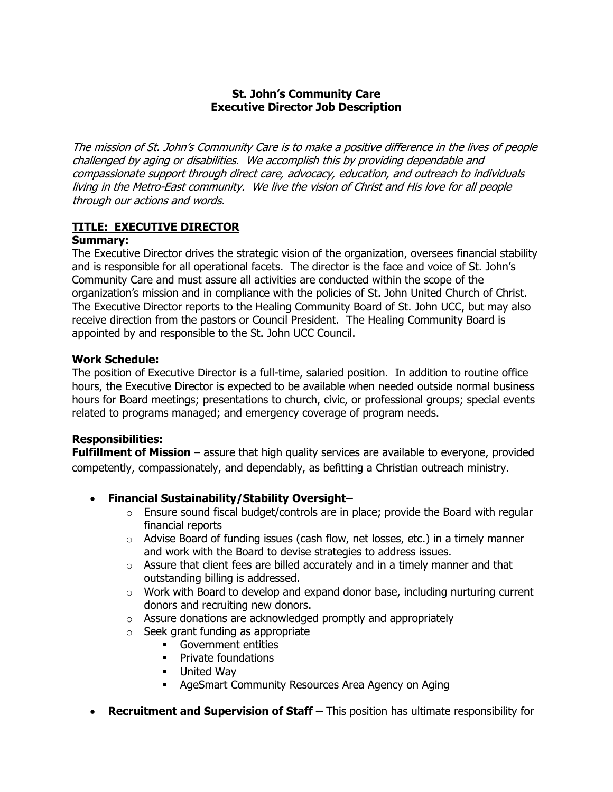### **St. John's Community Care Executive Director Job Description**

The mission of St. John's Community Care is to make a positive difference in the lives of people challenged by aging or disabilities. We accomplish this by providing dependable and compassionate support through direct care, advocacy, education, and outreach to individuals living in the Metro-East community. We live the vision of Christ and His love for all people through our actions and words.

#### **TITLE: EXECUTIVE DIRECTOR Summary:**

The Executive Director drives the strategic vision of the organization, oversees financial stability and is responsible for all operational facets. The director is the face and voice of St. John's Community Care and must assure all activities are conducted within the scope of the organization's mission and in compliance with the policies of St. John United Church of Christ. The Executive Director reports to the Healing Community Board of St. John UCC, but may also receive direction from the pastors or Council President. The Healing Community Board is appointed by and responsible to the St. John UCC Council.

### **Work Schedule:**

The position of Executive Director is a full-time, salaried position. In addition to routine office hours, the Executive Director is expected to be available when needed outside normal business hours for Board meetings; presentations to church, civic, or professional groups; special events related to programs managed; and emergency coverage of program needs.

# **Responsibilities:**

**Fulfillment of Mission** – assure that high quality services are available to everyone, provided competently, compassionately, and dependably, as befitting a Christian outreach ministry.

# • **Financial Sustainability/Stability Oversight–**

- o Ensure sound fiscal budget/controls are in place; provide the Board with regular financial reports
- $\circ$  Advise Board of funding issues (cash flow, net losses, etc.) in a timely manner and work with the Board to devise strategies to address issues.
- $\circ$  Assure that client fees are billed accurately and in a timely manner and that outstanding billing is addressed.
- $\circ$  Work with Board to develop and expand donor base, including nurturing current donors and recruiting new donors.
- o Assure donations are acknowledged promptly and appropriately
- o Seek grant funding as appropriate
	- **Government entities**
	- Private foundations
	- **-** United Way
	- **AgeSmart Community Resources Area Agency on Aging**
- **Recruitment and Supervision of Staff –** This position has ultimate responsibility for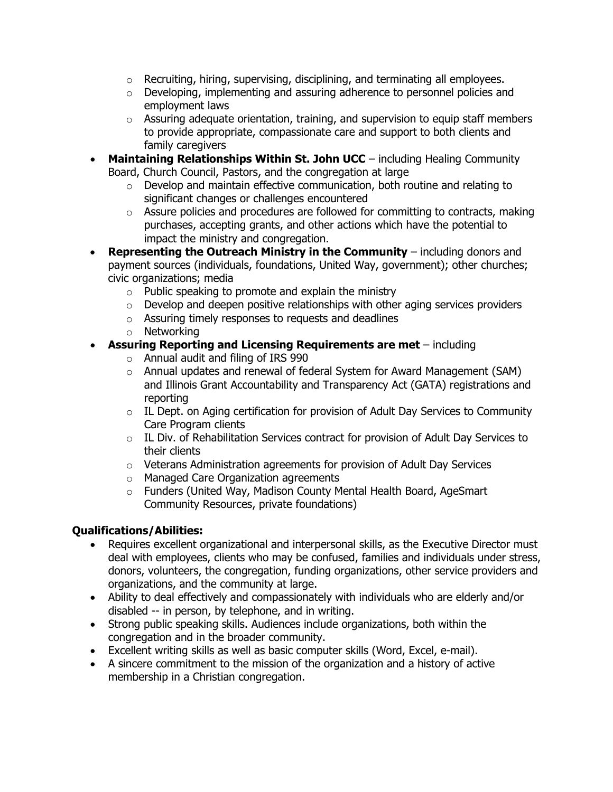- $\circ$  Recruiting, hiring, supervising, disciplining, and terminating all employees.
- $\circ$  Developing, implementing and assuring adherence to personnel policies and employment laws
- $\circ$  Assuring adequate orientation, training, and supervision to equip staff members to provide appropriate, compassionate care and support to both clients and family caregivers
- **Maintaining Relationships Within St. John UCC** including Healing Community Board, Church Council, Pastors, and the congregation at large
	- o Develop and maintain effective communication, both routine and relating to significant changes or challenges encountered
	- $\circ$  Assure policies and procedures are followed for committing to contracts, making purchases, accepting grants, and other actions which have the potential to impact the ministry and congregation.
- **Representing the Outreach Ministry in the Community** including donors and payment sources (individuals, foundations, United Way, government); other churches; civic organizations; media
	- $\circ$  Public speaking to promote and explain the ministry
	- $\circ$  Develop and deepen positive relationships with other aging services providers
	- o Assuring timely responses to requests and deadlines
	- o Networking
- **Assuring Reporting and Licensing Requirements are met** including
	- o Annual audit and filing of IRS 990
	- o Annual updates and renewal of federal System for Award Management (SAM) and Illinois Grant Accountability and Transparency Act (GATA) registrations and reporting
	- $\circ$  IL Dept. on Aging certification for provision of Adult Day Services to Community Care Program clients
	- $\circ$  IL Div. of Rehabilitation Services contract for provision of Adult Day Services to their clients
	- o Veterans Administration agreements for provision of Adult Day Services
	- o Managed Care Organization agreements
	- o Funders (United Way, Madison County Mental Health Board, AgeSmart Community Resources, private foundations)

# **Qualifications/Abilities:**

- Requires excellent organizational and interpersonal skills, as the Executive Director must deal with employees, clients who may be confused, families and individuals under stress, donors, volunteers, the congregation, funding organizations, other service providers and organizations, and the community at large.
- Ability to deal effectively and compassionately with individuals who are elderly and/or disabled -- in person, by telephone, and in writing.
- Strong public speaking skills. Audiences include organizations, both within the congregation and in the broader community.
- Excellent writing skills as well as basic computer skills (Word, Excel, e-mail).
- A sincere commitment to the mission of the organization and a history of active membership in a Christian congregation.